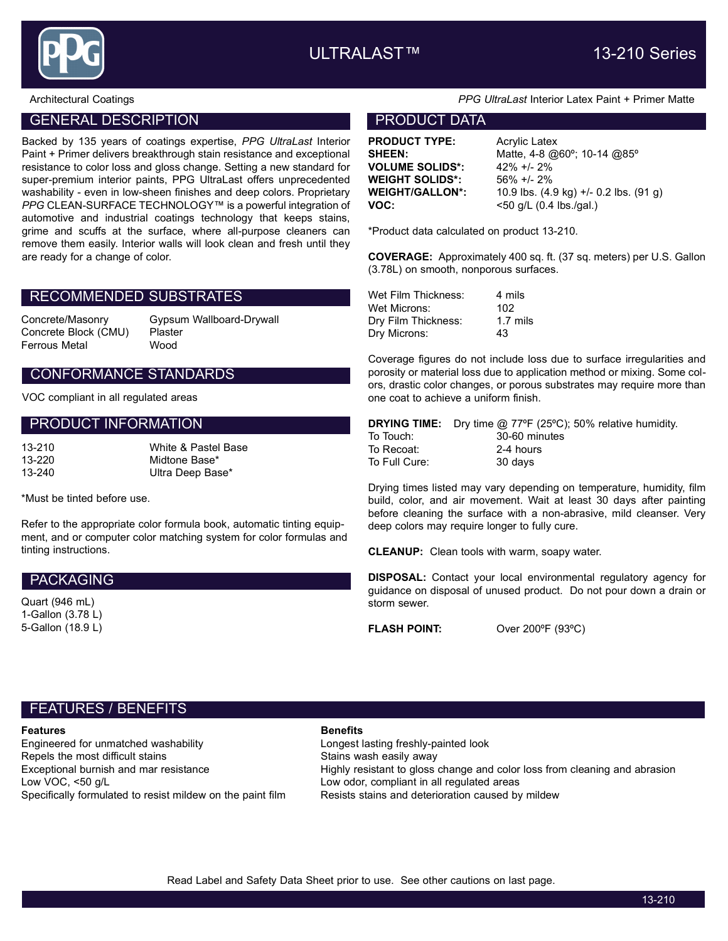

### GENERAL DESCRIPTION **EXAMPLE 20 INCREASE AND ACCOUNT DATA**

Backed by 135 years of coatings expertise, PPG UltraLast Interior Paint + Primer delivers breakthrough stain resistance and exceptional resistance to color loss and gloss change. Setting a new standard for super-premium interior paints, PPG UltraLast offers unprecedented washability - even in low-sheen finishes and deep colors. Proprietary PPG CLEAN-SURFACE TECHNOLOGY™ is a powerful integration of automotive and industrial coatings technology that keeps stains, grime and scuffs at the surface, where all-purpose cleaners can remove them easily. Interior walls will look clean and fresh until they are ready for a change of color.

#### RECOMMENDED SUBSTRATES

Concrete Block (CMU) Plaster Ferrous Metal Wood

Concrete/Masonry Gypsum Wallboard-Drywall

### CONFORMANCE STANDARDS

VOC compliant in all regulated areas

#### PRODUCT INFORMATION

| 13-210 | White & Pastel Base |
|--------|---------------------|
| 13-220 | Midtone Base*       |
| 13-240 | Ultra Deep Base*    |

\*Must be tinted before use.

Refer to the appropriate color formula book, automatic tinting equipment, and or computer color matching system for color formulas and tinting instructions.

#### PACKAGING

Quart (946 mL) 1-Gallon (3.78 L) 5-Gallon (18.9 L)

#### Architectural Coatings **PPG UltraLast Interior Latex Paint + Primer Matte**

**PRODUCT TYPE:** Acrylic Latex VOLUME SOLIDS\*: 42% +/- 2% WEIGHT SOLIDS\*: 56% +/- 2%

**SHEEN:** Matte, 4-8 @60°; 10-14 @85° WEIGHT/GALLON\*: 10.9 lbs. (4.9 kg) +/- 0.2 lbs. (91 g) **VOC:**  $< 50$  g/L (0.4 lbs./gal.)

\*Product data calculated on product 13-210.

COVERAGE: Approximately 400 sq. ft. (37 sq. meters) per U.S. Gallon (3.78L) on smooth, nonporous surfaces.

| Wet Film Thickness: | 4 mils              |
|---------------------|---------------------|
| Wet Microns:        | 102                 |
| Dry Film Thickness: | $1.7 \text{ miles}$ |
| Dry Microns:        | 43                  |

Coverage figures do not include loss due to surface irregularities and porosity or material loss due to application method or mixing. Some colors, drastic color changes, or porous substrates may require more than one coat to achieve a uniform finish.

|               | <b>DRYING TIME:</b> Dry time @ 77°F (25°C); 50% relative humidity. |
|---------------|--------------------------------------------------------------------|
| To Touch:     | 30-60 minutes                                                      |
| To Recoat:    | 2-4 hours                                                          |
| To Full Cure: | 30 davs                                                            |

Drying times listed may vary depending on temperature, humidity, film build, color, and air movement. Wait at least 30 days after painting before cleaning the surface with a non-abrasive, mild cleanser. Very deep colors may require longer to fully cure.

CLEANUP: Clean tools with warm, soapy water.

DISPOSAL: Contact your local environmental regulatory agency for guidance on disposal of unused product. Do not pour down a drain or storm sewer.

FLASH POINT: Over 200°F (93°C)

## FEATURES / BENEFITS

#### **Features Benefits**

Engineered for unmatched washability Longest lasting freshly-painted look Repels the most difficult stains and many stains wash easily away<br>Exceptional burnish and mar resistance and the Highly resistant to gloss Low VOC, <50 g/L Low odor, compliant in all regulated areas Specifically formulated to resist mildew on the paint film Resists stains and deterioration caused by mildew

Highly resistant to gloss change and color loss from cleaning and abrasion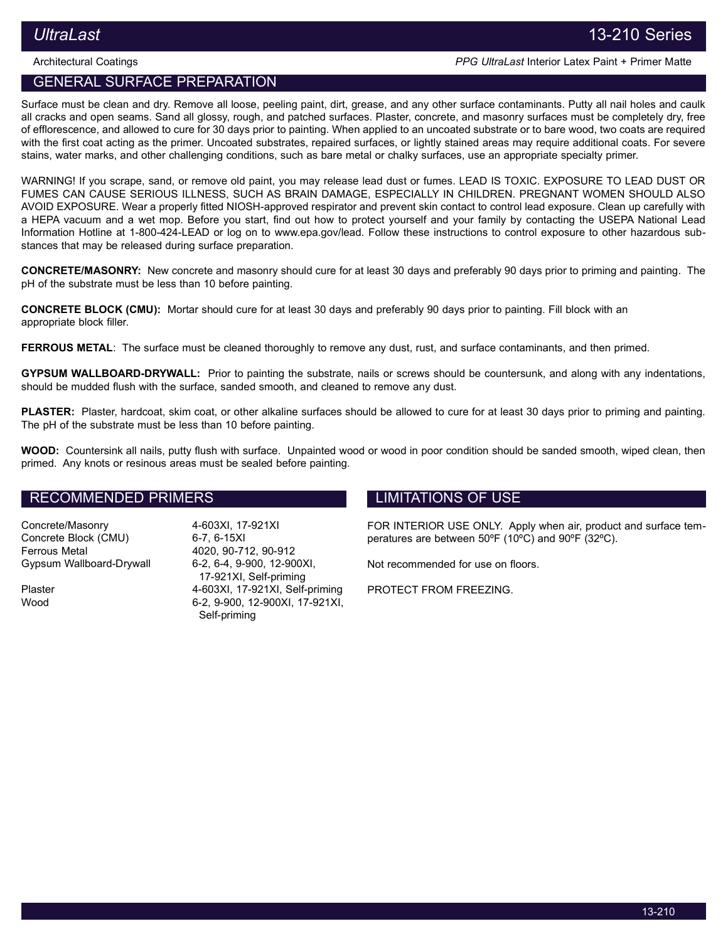Architectural Coatings PPG UltraLast Interior Latex Paint + Primer Matte

# GENERAL SURFACE PREPARATION

Surface must be clean and dry. Remove all loose, peeling paint, dirt, grease, and any other surface contaminants. Putty all nail holes and caulk all cracks and open seams. Sand all glossy, rough, and patched surfaces. Plaster, concrete, and masonry surfaces must be completely dry, free of efflorescence, and allowed to cure for 30 days prior to painting. When applied to an uncoated substrate or to bare wood, two coats are required with the first coat acting as the primer. Uncoated substrates, repaired surfaces, or lightly stained areas may require additional coats. For severe stains, water marks, and other challenging conditions, such as bare metal or chalky surfaces, use an appropriate specialty primer.

WARNING! If you scrape, sand, or remove old paint, you may release lead dust or fumes. LEAD IS TOXIC. EXPOSURE TO LEAD DUST OR FUMES CAN CAUSE SERIOUS ILLNESS, SUCH AS BRAIN DAMAGE, ESPECIALLY IN CHILDREN. PREGNANT WOMEN SHOULD ALSO AVOID EXPOSURE. Wear a properly fitted NIOSH-approved respirator and prevent skin contact to control lead exposure. Clean up carefully with a HEPA vacuum and a wet mop. Before you start, find out how to protect yourself and your family by contacting the USEPA National Lead Information Hotline at 1‑800‑424‑LEAD or log on to www.epa.gov/lead. Follow these instructions to control exposure to other hazardous substances that may be released during surface preparation.

CONCRETE/MASONRY: New concrete and masonry should cure for at least 30 days and preferably 90 days prior to priming and painting. The pH of the substrate must be less than 10 before painting.

CONCRETE BLOCK (CMU): Mortar should cure for at least 30 days and preferably 90 days prior to painting. Fill block with an appropriate block filler.

FERROUS METAL: The surface must be cleaned thoroughly to remove any dust, rust, and surface contaminants, and then primed.

GYPSUM WALLBOARD-DRYWALL: Prior to painting the substrate, nails or screws should be countersunk, and along with any indentations, should be mudded flush with the surface, sanded smooth, and cleaned to remove any dust.

PLASTER: Plaster, hardcoat, skim coat, or other alkaline surfaces should be allowed to cure for at least 30 days prior to priming and painting. The pH of the substrate must be less than 10 before painting.

WOOD: Countersink all nails, putty flush with surface. Unpainted wood or wood in poor condition should be sanded smooth, wiped clean, then primed. Any knots or resinous areas must be sealed before painting.

### RECOMMENDED PRIMERS

Concrete/Masonry 4-603XI, 17-921XI Concrete Block (CMU) 6-7, 6-15XI Ferrous Metal 4020, 90-712, 90-912 Gypsum Wallboard-Drywall 6-2, 6-4, 9-900, 12-900XI,

17-921XI, Self-priming Plaster 4-603XI, 17-921XI, Self-priming Wood 6-2, 9-900, 12-900XI, 17-921XI, Self-priming

## LIMITATIONS OF USE

FOR INTERIOR USE ONLY. Apply when air, product and surface temperatures are between 50ºF (10ºC) and 90ºF (32ºC).

Not recommended for use on floors.

PROTECT FROM FREEZING.